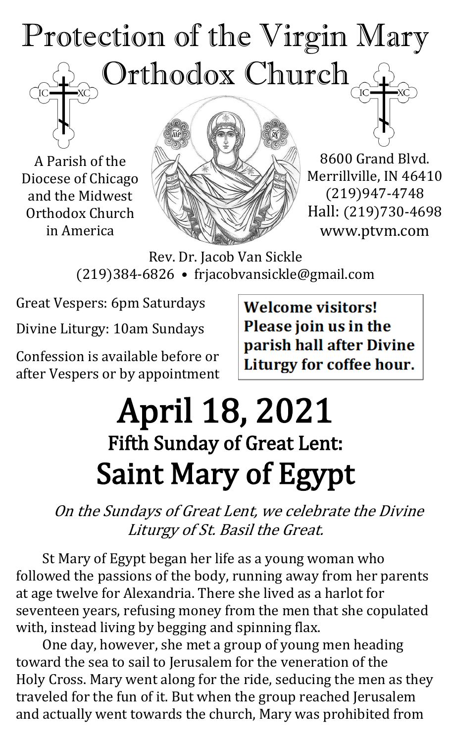# Protection of the Virgin Mary Orthodox Church

A Parish of the Diocese of Chicago and the Midwest Orthodox Church in America



8600 Grand Blvd. Merrillville, IN 46410 (219)947-4748 Hall: (219)730-4698 www.ptvm.com

Rev. Dr. Jacob Van Sickle (219)384-6826 • frjacobvansickle@gmail.com

Great Vespers: 6pm Saturdays

Divine Liturgy: 10am Sundays

Confession is available before or after Vespers or by appointment **Welcome visitors!** Please join us in the parish hall after Divine Liturgy for coffee hour.

## April 18, 2021 Fifth Sunday of Great Lent: Saint Mary of Egypt

On the Sundays of Great Lent, we celebrate the Divine Liturgy of St. Basil the Great.

St Mary of Egypt began her life as a young woman who followed the passions of the body, running away from her parents at age twelve for Alexandria. There she lived as a harlot for seventeen years, refusing money from the men that she copulated with, instead living by begging and spinning flax.

One day, however, she met a group of young men heading toward the sea to sail to Jerusalem for the veneration of the Holy Cross. Mary went along for the ride, seducing the men as they traveled for the fun of it. But when the group reached Jerusalem and actually went towards the church, Mary was prohibited from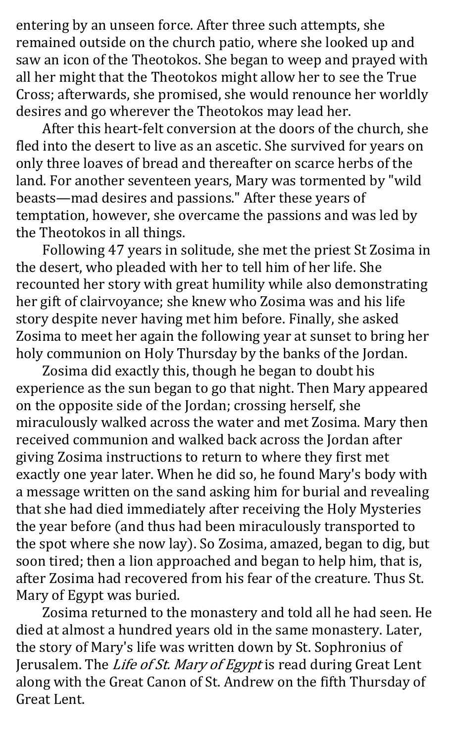entering by an unseen force. After three such attempts, she remained outside on the church patio, where she looked up and saw an icon of the Theotokos. She began to weep and prayed with all her might that the Theotokos might allow her to see the True Cross; afterwards, she promised, she would renounce her worldly desires and go wherever the Theotokos may lead her.

After this heart-felt conversion at the doors of the church, she fled into the desert to live as an ascetic. She survived for years on only three loaves of bread and thereafter on scarce herbs of the land. For another seventeen years, Mary was tormented by "wild beasts—mad desires and passions." After these years of temptation, however, she overcame the passions and was led by the Theotokos in all things.

Following 47 years in solitude, she met the priest St Zosima in the desert, who pleaded with her to tell him of her life. She recounted her story with great humility while also demonstrating her gift of clairvoyance; she knew who Zosima was and his life story despite never having met him before. Finally, she asked Zosima to meet her again the following year at sunset to bring her holy communion on Holy Thursday by the banks of the Jordan.

Zosima did exactly this, though he began to doubt his experience as the sun began to go that night. Then Mary appeared on the opposite side of the Jordan; crossing herself, she miraculously walked across the water and met Zosima. Mary then received communion and walked back across the Jordan after giving Zosima instructions to return to where they first met exactly one year later. When he did so, he found Mary's body with a message written on the sand asking him for burial and revealing that she had died immediately after receiving the Holy Mysteries the year before (and thus had been miraculously transported to the spot where she now lay). So Zosima, amazed, began to dig, but soon tired; then a lion approached and began to help him, that is, after Zosima had recovered from his fear of the creature. Thus St. Mary of Egypt was buried.

Zosima returned to the monastery and told all he had seen. He died at almost a hundred years old in the same monastery. Later, the story of Mary's life was written down by St. Sophronius of Jerusalem. The Life of St. Mary of Egypt is read during Great Lent along with the Great Canon of St. Andrew on the fifth Thursday of Great Lent.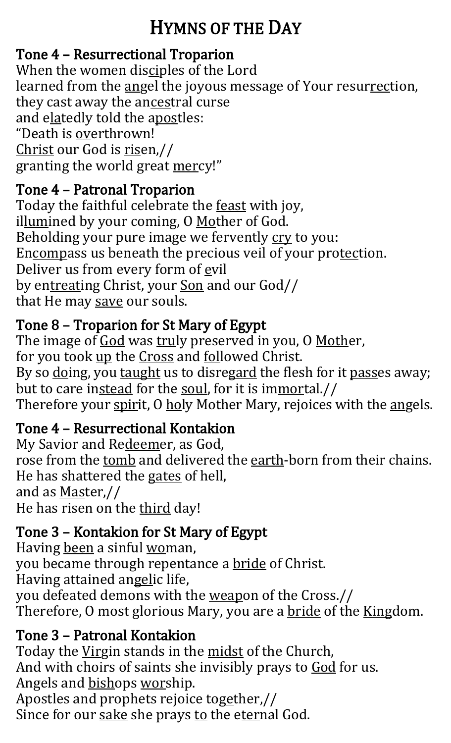## HYMNS OF THE DAY

#### Tone 4 – Resurrectional Troparion

When the women disciples of the Lord learned from the angel the joyous message of Your resurrection, they cast away the ancestral curse and elatedly told the apostles: "Death is overthrown! Christ our God is risen,// granting the world great mercy!"

#### Tone 4 – Patronal Troparion

Today the faithful celebrate the feast with joy, illumined by your coming, O Mother of God. Beholding your pure image we fervently cry to you: Encompass us beneath the precious veil of your protection. Deliver us from every form of evil by entreating Christ, your Son and our God// that He may save our souls.

#### Tone 8 – Troparion for St Mary of Egypt

The image of God was truly preserved in you, O Mother, for you took up the Cross and followed Christ. By so doing, you taught us to disregard the flesh for it passes away; but to care instead for the soul, for it is immortal.// Therefore your spirit, O holy Mother Mary, rejoices with the angels.

#### Tone 4 – Resurrectional Kontakion

My Savior and Redeemer, as God, rose from the tomb and delivered the earth-born from their chains. He has shattered the gates of hell, and as Master,// He has risen on the third day!

#### Tone 3 – Kontakion for St Mary of Egypt

Having been a sinful woman, you became through repentance a bride of Christ. Having attained angelic life, you defeated demons with the weapon of the Cross.// Therefore, O most glorious Mary, you are a bride of the Kingdom.

#### Tone 3 – Patronal Kontakion

Today the Virgin stands in the midst of the Church, And with choirs of saints she invisibly prays to God for us. Angels and bishops worship. Apostles and prophets rejoice together,// Since for our sake she prays to the eternal God.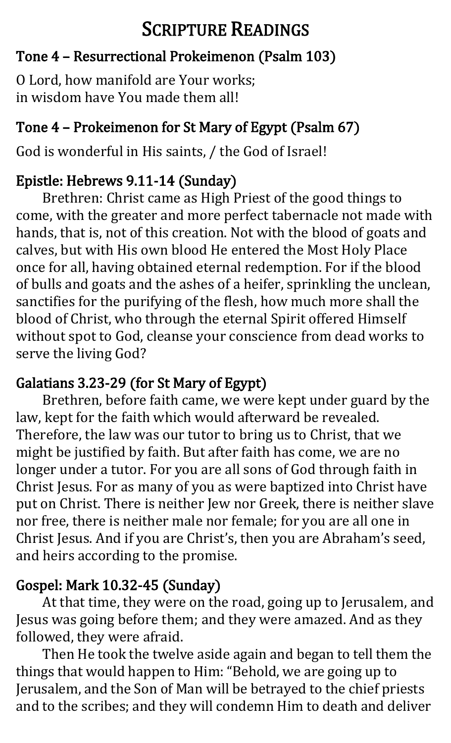## SCRIPTURE READINGS

#### Tone 4 – Resurrectional Prokeimenon (Psalm 103)

O Lord, how manifold are Your works; in wisdom have You made them all!

#### Tone 4 – Prokeimenon for St Mary of Egypt (Psalm 67)

God is wonderful in His saints, / the God of Israel!

#### Epistle: Hebrews 9.11-14 (Sunday)

Brethren: Christ came as High Priest of the good things to come, with the greater and more perfect tabernacle not made with hands, that is, not of this creation. Not with the blood of goats and calves, but with His own blood He entered the Most Holy Place once for all, having obtained eternal redemption. For if the blood of bulls and goats and the ashes of a heifer, sprinkling the unclean, sanctifies for the purifying of the flesh, how much more shall the blood of Christ, who through the eternal Spirit offered Himself without spot to God, cleanse your conscience from dead works to serve the living God?

#### Galatians 3.23-29 (for St Mary of Egypt)

Brethren, before faith came, we were kept under guard by the law, kept for the faith which would afterward be revealed. Therefore, the law was our tutor to bring us to Christ, that we might be justified by faith. But after faith has come, we are no longer under a tutor. For you are all sons of God through faith in Christ Jesus. For as many of you as were baptized into Christ have put on Christ. There is neither Jew nor Greek, there is neither slave nor free, there is neither male nor female; for you are all one in Christ Jesus. And if you are Christ's, then you are Abraham's seed, and heirs according to the promise.

### Gospel: Mark 10.32-45 (Sunday)

At that time, they were on the road, going up to Jerusalem, and Jesus was going before them; and they were amazed. And as they followed, they were afraid.

Then He took the twelve aside again and began to tell them the things that would happen to Him: "Behold, we are going up to Jerusalem, and the Son of Man will be betrayed to the chief priests and to the scribes; and they will condemn Him to death and deliver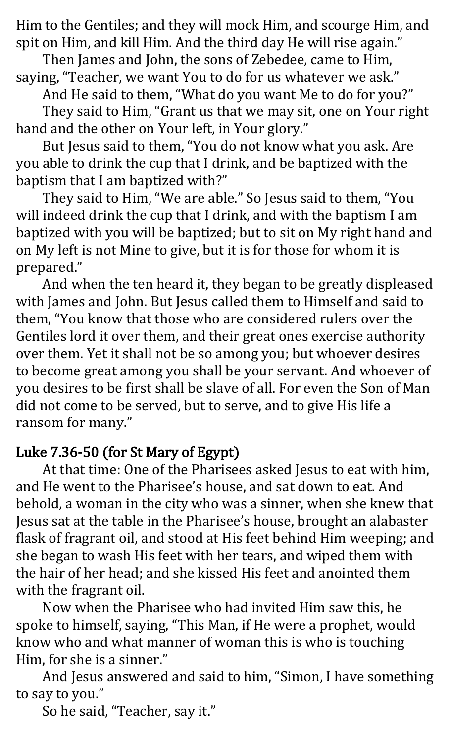Him to the Gentiles; and they will mock Him, and scourge Him, and spit on Him, and kill Him. And the third day He will rise again."

Then James and John, the sons of Zebedee, came to Him, saying, "Teacher, we want You to do for us whatever we ask."

And He said to them, "What do you want Me to do for you?"

They said to Him, "Grant us that we may sit, one on Your right hand and the other on Your left, in Your glory."

But Jesus said to them, "You do not know what you ask. Are you able to drink the cup that I drink, and be baptized with the baptism that I am baptized with?"

They said to Him, "We are able." So Jesus said to them, "You will indeed drink the cup that I drink, and with the baptism I am baptized with you will be baptized; but to sit on My right hand and on My left is not Mine to give, but it is for those for whom it is prepared."

And when the ten heard it, they began to be greatly displeased with James and John. But Jesus called them to Himself and said to them, "You know that those who are considered rulers over the Gentiles lord it over them, and their great ones exercise authority over them. Yet it shall not be so among you; but whoever desires to become great among you shall be your servant. And whoever of you desires to be first shall be slave of all. For even the Son of Man did not come to be served, but to serve, and to give His life a ransom for many."

#### Luke 7.36-50 (for St Mary of Egypt)

At that time: One of the Pharisees asked Jesus to eat with him, and He went to the Pharisee's house, and sat down to eat. And behold, a woman in the city who was a sinner, when she knew that Jesus sat at the table in the Pharisee's house, brought an alabaster flask of fragrant oil, and stood at His feet behind Him weeping; and she began to wash His feet with her tears, and wiped them with the hair of her head; and she kissed His feet and anointed them with the fragrant oil.

Now when the Pharisee who had invited Him saw this, he spoke to himself, saying, "This Man, if He were a prophet, would know who and what manner of woman this is who is touching Him, for she is a sinner."

And Jesus answered and said to him, "Simon, I have something to say to you."

So he said, "Teacher, say it."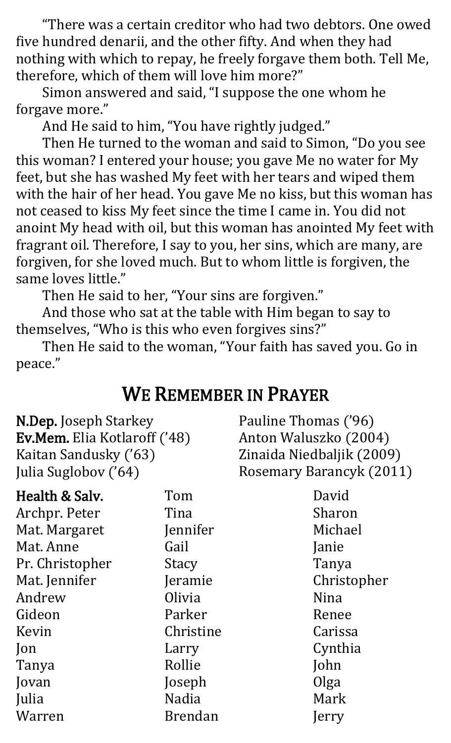"There was a certain creditor who had two debtors. One owed five hundred denarii, and the other fifty. And when they had nothing with which to repay, he freely forgave them both. Tell Me, therefore, which of them will love him more?"

Simon answered and said, "I suppose the one whom he forgave more."

And He said to him, "You have rightly judged."

Then He turned to the woman and said to Simon, "Do you see this woman? I entered your house; you gave Me no water for My feet, but she has washed My feet with her tears and wiped them with the hair of her head. You gave Me no kiss, but this woman has not ceased to kiss My feet since the time I came in. You did not anoint My head with oil, but this woman has anointed My feet with fragrant oil. Therefore, I say to you, her sins, which are many, are forgiven, for she loved much. But to whom little is forgiven, the same loves little."

Then He said to her, "Your sins are forgiven."

And those who sat at the table with Him began to say to themselves, "Who is this who even forgives sins?"

Then He said to the woman, "Your faith has saved you. Go in peace."

## WE REMEMBER IN PRAYER

N.Dep. Joseph Starkey Ev.Mem. Elia Kotlaroff ('48) Kaitan Sandusky ('63) Julia Suglobov ('64)

Pauline Thomas ('96) Anton Waluszko (2004) Zinaida Niedbaljik (2009) Rosemary Barancyk (2011)

| Health & Salv.  | Tom             | David       |
|-----------------|-----------------|-------------|
| Archpr. Peter   | Tina            | Sharon      |
| Mat. Margaret   | <b>Jennifer</b> | Michael     |
| Mat. Anne       | Gail            | Janie       |
| Pr. Christopher | Stacy           | Tanya       |
| Mat. Jennifer   | <b>Jeramie</b>  | Christopher |
| Andrew          | Olivia          | <b>Nina</b> |
| Gideon          | Parker          | Renee       |
| Kevin           | Christine       | Carissa     |
| Jon             | Larry           | Cynthia     |
| Tanya           | Rollie          | John        |
| Jovan           | Joseph          | Olga        |
| Julia           | Nadia           | Mark        |
| Warren          | <b>Brendan</b>  | Jerry       |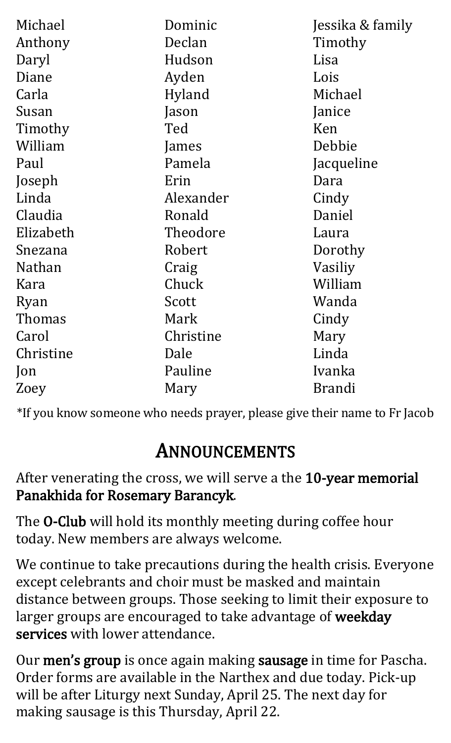| Michael       | Dominic   | Jessika & family |
|---------------|-----------|------------------|
| Anthony       | Declan    | Timothy          |
| Daryl         | Hudson    | Lisa             |
| Diane         | Ayden     | Lois             |
| Carla         | Hyland    | Michael          |
| Susan         | Jason     | Janice           |
| Timothy       | Ted       | Ken              |
| William       | James     | Debbie           |
| Paul          | Pamela    | Jacqueline       |
| Joseph        | Erin      | Dara             |
| Linda         | Alexander | Cindy            |
| Claudia       | Ronald    | Daniel           |
| Elizabeth     | Theodore  | Laura            |
| Snezana       | Robert    | Dorothy          |
| <b>Nathan</b> | Craig     | Vasiliy          |
| Kara          | Chuck     | William          |
| Ryan          | Scott     | Wanda            |
| Thomas        | Mark      | Cindy            |
| Carol         | Christine | Mary             |
| Christine     | Dale      | Linda            |
| Jon           | Pauline   | Ivanka           |
| Zoey          | Mary      | <b>Brandi</b>    |

\*If you know someone who needs prayer, please give their name to Fr Jacob

## ANNOUNCEMENTS

After venerating the cross, we will serve a the 10-year memorial Panakhida for Rosemary Barancyk.

The O-Club will hold its monthly meeting during coffee hour today. New members are always welcome.

We continue to take precautions during the health crisis. Everyone except celebrants and choir must be masked and maintain distance between groups. Those seeking to limit their exposure to larger groups are encouraged to take advantage of weekday services with lower attendance.

Our men's group is once again making sausage in time for Pascha. Order forms are available in the Narthex and due today. Pick-up will be after Liturgy next Sunday, April 25. The next day for making sausage is this Thursday, April 22.